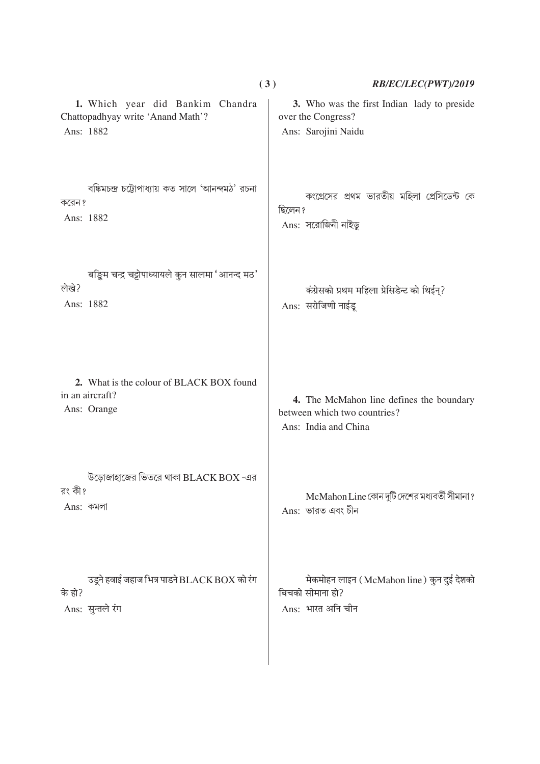|                                                                                               | (3)<br>RB/EC/LEC(PWT)/2019                                          |
|-----------------------------------------------------------------------------------------------|---------------------------------------------------------------------|
| 1. Which year did Bankim Chandra                                                              | 3. Who was the first Indian lady to preside                         |
| Chattopadhyay write 'Anand Math'?                                                             | over the Congress?                                                  |
| Ans: 1882                                                                                     | Ans: Sarojini Naidu                                                 |
| বঙ্কিমচন্দ্ৰ চট্টোপাধ্যায় কত সালে 'আনন্দমঠ' রচনা                                             | কংগ্রেসের প্রথম ভারতীয় মহিলা প্রেসিডেন্ট কে                        |
| করেন ?                                                                                        | ছিলেন ?                                                             |
| Ans: 1882                                                                                     | Ans: সরোজিনী নাইডু                                                  |
| बङ्किम चन्द्र चट्टोपाध्यायले कुन सालमा 'आनन्द मठ'<br>लेखे?<br>Ans: 1882                       | कंग्रेसको प्रथम महिला प्रेसिडेन्ट को थिईन्?<br>Ans: सरोजिणी नाईडू   |
| 2. What is the colour of BLACK BOX found                                                      | 4. The McMahon line defines the boundary                            |
| in an aircraft?                                                                               | between which two countries?                                        |
| Ans: Orange                                                                                   | Ans: India and China                                                |
| উড়োজাহাজের ভিতরে থাকা $\operatorname{BLACK}$ $\operatorname{BOX}$ -এর<br>রং কী?<br>Ans: কমলা | McMahon Line কোন দুটি দেশের মধ্যবর্তী সীমানা ?<br>Ans: ভারত এবং চীন |
| उड़्ने हवाई जहाज भित्र पाडने BLACK BOX को रंग                                                 | मेकमोहन लाइन (McMahon line) कुन दुई देशको                           |
| के हो?                                                                                        | बिचको सीमाना हो?                                                    |
| Ans: सुन्तले रंग                                                                              | Ans: भारत अनि चीन                                                   |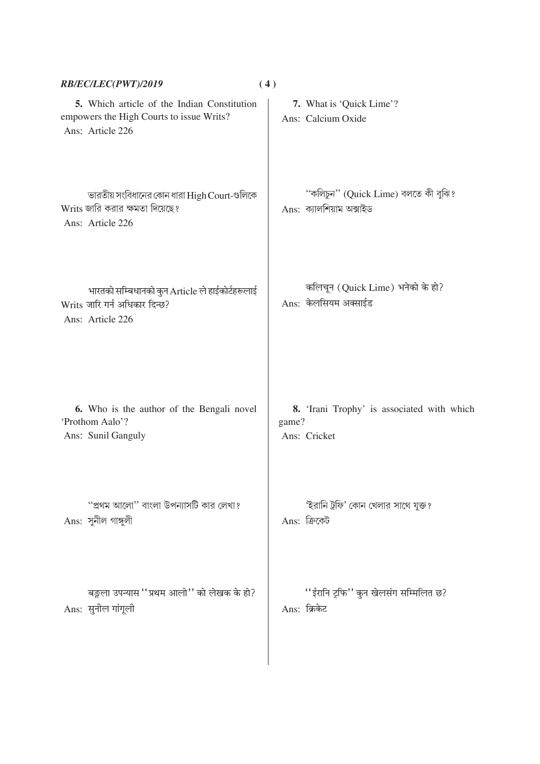| RB/EC/LEC(PWT)/2019                                                                                         | (4)                                                                 |
|-------------------------------------------------------------------------------------------------------------|---------------------------------------------------------------------|
| 5. Which article of the Indian Constitution<br>empowers the High Courts to issue Writs?<br>Ans: Article 226 | 7. What is 'Quick Lime'?<br>Ans: Calcium Oxide                      |
| ভারতীয় সংবিধানের কোন ধারা High Court-গুলিকে<br>Writs জারি করার ক্ষমতা দিয়েছে?<br>Ans: Article 226         | "কলিচুন" (Quick Lime) বলতে কী বুঝি?<br>Ans: ক্যালশিয়াম অক্সাইড     |
| भारतको सम्बिधानको कुन Article ले हाईकोर्टहरूलाई<br>Writs जारि गर्न अधिकार दिन्छ?<br>Ans: Article 226        | कलिचून (Quick Lime) भनेको के हो?<br>Ans: केलसियम अक्साईड            |
| 6. Who is the author of the Bengali novel<br>'Prothom Aalo'?<br>Ans: Sunil Ganguly                          | 8. 'Irani Trophy' is associated with which<br>game?<br>Ans: Cricket |
| "প্রথম আলো'' বাংলা উপন্যাসটি কার লেখা?<br>Ans: সুনীল গাঙ্গুলী                                               | 'ইরানি ট্রফি' কোন খেলার সাথে যুক্ত?<br>Ans: ক্ৰিকেট                 |
| बङ्गला उपन्यास ''प्रथम आलो'' को लेखक के हो?<br>Ans: सुनील गांगूली                                           | ''ईरानि ट्रफि'' कुन खेलसंग सम्मिलित छ?<br>Ans: क्रिकेट              |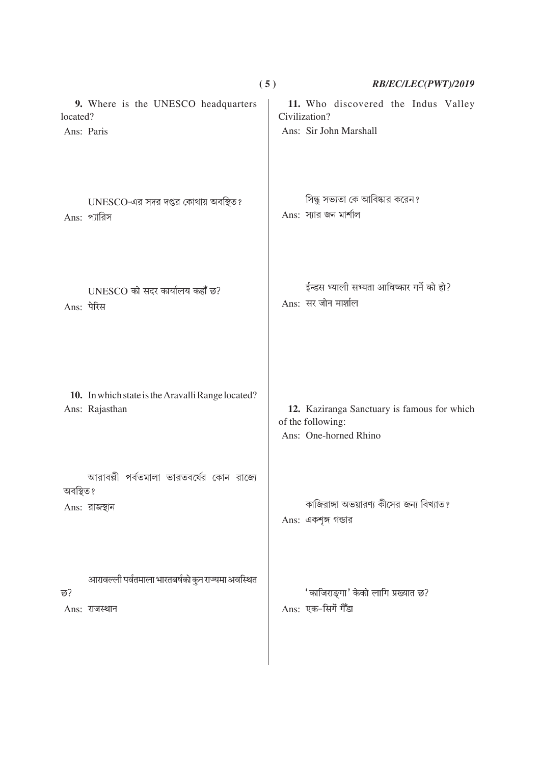|                        |                                                                     | (5)<br>RB/EC/LEC(PWT)/2019                                                                |
|------------------------|---------------------------------------------------------------------|-------------------------------------------------------------------------------------------|
| located?<br>Ans: Paris | 9. Where is the UNESCO headquarters                                 | 11. Who discovered the Indus Valley<br>Civilization?<br>Ans: Sir John Marshall            |
|                        | UNESCO-এর সদর দপ্তর কোথায় অবস্থিত?<br>Ans: প্যারিস                 | সিন্ধু সভ্যতা কে আবিষ্কার করেন?<br>Ans: স্যার জন মার্শাল                                  |
| Ans: पेरिस             | UNESCO को सदर कार्यालय कहाँ छ?                                      | ईन्डस भ्याली सभ्यता आविष्कार गर्ने को हो?<br>Ans: सर जोन मार्शाल                          |
|                        | 10. In which state is the Aravalli Range located?<br>Ans: Rajasthan | 12. Kaziranga Sanctuary is famous for which<br>of the following:<br>Ans: One-horned Rhino |
| অবস্থিত ?              | আরাবল্লী পর্বতমালা ভারতবর্ষের কোন রাজ্যে<br>Ans: রাজস্থান           | কাজিরাঙ্গা অভয়ারণ্য কীসের জন্য বিখ্যাত?<br>Ans: একশৃঙ্গ গন্ডার                           |
| छ?                     | आरावल्ली पर्वतमाला भारतबर्षको कुन राज्यमा अवस्थित<br>Ans: राजस्थान  | 'काजिराङ्गा' केको लागि प्रख्यात छ?<br>Ans: एक-सिगें गेँडा                                 |

 $\overline{\phantom{a}}$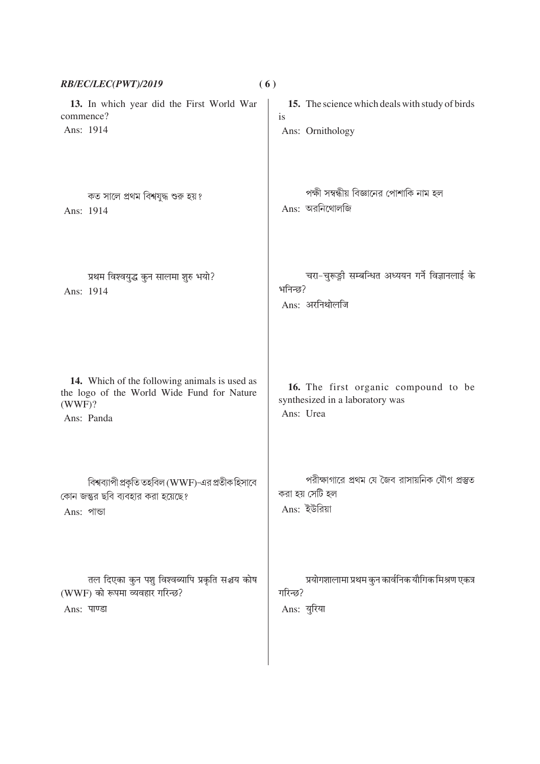| RB/EC/LEC(PWT)/2019                                                                                                 | (6)                                                                                  |
|---------------------------------------------------------------------------------------------------------------------|--------------------------------------------------------------------------------------|
| 13. In which year did the First World War                                                                           | 15. The science which deals with study of birds                                      |
| commence?                                                                                                           | is                                                                                   |
| Ans: 1914                                                                                                           | Ans: Ornithology                                                                     |
| কত সালে প্রথম বিশ্বযুদ্ধ শুরু হয়?                                                                                  | পক্ষী সম্বন্ধীয় বিজ্ঞানের পোশাকি নাম হল                                             |
| Ans: 1914                                                                                                           | $Ans:$ অরনিথোলজি                                                                     |
| प्रथम विश्वयुद्ध कुन सालमा शुरु भयो?<br>Ans: 1914                                                                   | चरा-चुरूङ्गी सम्बन्धित अध्ययन गर्ने विज्ञानलाई के<br>भनिन्छ?<br>Ans: अरनिथोलजि       |
| 14. Which of the following animals is used as<br>the logo of the World Wide Fund for Nature<br>(WWF)?<br>Ans: Panda | 16. The first organic compound to be<br>synthesized in a laboratory was<br>Ans: Urea |
| বিশ্বব্যাপী প্রকৃতি তহবিল (WWF)-এর প্রতীক হিসাবে                                                                    | পরীক্ষাগারে প্রথম যে জৈব রাসায়নিক যৌগ প্রস্তুত                                      |
| কোন জন্তুর ছবি ব্যবহার করা হয়েছে?                                                                                  | করা হয় সেটি হল                                                                      |
| Ans: পাভা                                                                                                           | Ans: ইউরিয়া                                                                         |
| तल दिएका कुन पशु विश्वब्यापि प्रकृति सञ्चय कोष                                                                      | प्रयोगशालामा प्रथम कुन कार्वनिक यौगिक मिश्रण एकत्र                                   |
| (WWF) को रूपमा व्यवहार गरिन्छ?                                                                                      | गरिन्छ?                                                                              |
| Ans: पाण्डा                                                                                                         | Ans: युरिया                                                                          |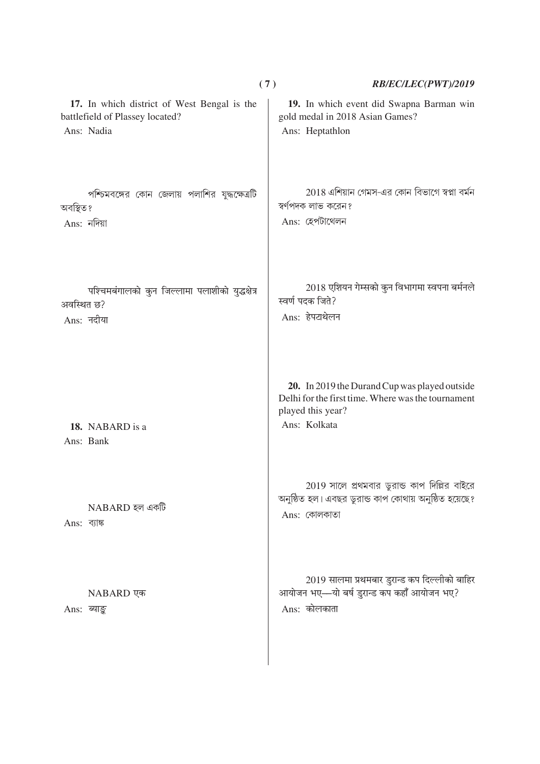|                                                                                              | (7)                                   | RB/EC/LEC(PWT)/2019                                                                                   |
|----------------------------------------------------------------------------------------------|---------------------------------------|-------------------------------------------------------------------------------------------------------|
| 17. In which district of West Bengal is the<br>battlefield of Plassey located?<br>Ans: Nadia | Ans: Heptathlon                       | 19. In which event did Swapna Barman win<br>gold medal in 2018 Asian Games?                           |
| পশ্চিমবঙ্গের কোন জেলায় পলাশির যুদ্ধক্ষেত্রটি<br>অবস্থিত ?<br>$Ans:$ নদিয়া                  | স্বর্ণপদক লাভ করেন?<br>Ans: হেপটাথেলন | 2018 এশিয়ান গেমস-এর কোন বিভাগে স্বপ্না বর্মন                                                         |
| पश्चिमबंगालको कुन जिल्लामा पलाशीको युद्धक्षेत्र<br>अवस्थित छ?<br>Ans: नदीया                  | स्वर्ण पदक जिते?<br>Ans: हेपटाथेलन    | 2018 एशियन गेम्सको कुन विभागमा स्वपना बर्मनले                                                         |
| 18. NABARD is a<br>Ans: Bank                                                                 | played this year?<br>Ans: Kolkata     | 20. In 2019 the Durand Cup was played outside<br>Delhi for the first time. Where was the tournament   |
| NABARD হল একটি<br>Ans: ব্যাঙ্ক                                                               | Ans: কোলকাতা                          | 2019 সালে প্রথমবার ডুরান্ড কাপ দিল্লির বাইরে<br>অনুষ্ঠিত হল। এবছর ডুরান্ড কাপ কোথায় অনুষ্ঠিত হয়েছে? |
| NABARD एक<br>Ans: ब्याङ्क                                                                    | Ans: कोलकाता                          | 2019 सालमा प्रथमबार डुरान्ड कप दिल्लीको बाहिर<br>आयोजन भए-यो बर्ष डुरान्ड कप कहाँ आयोजन भए?           |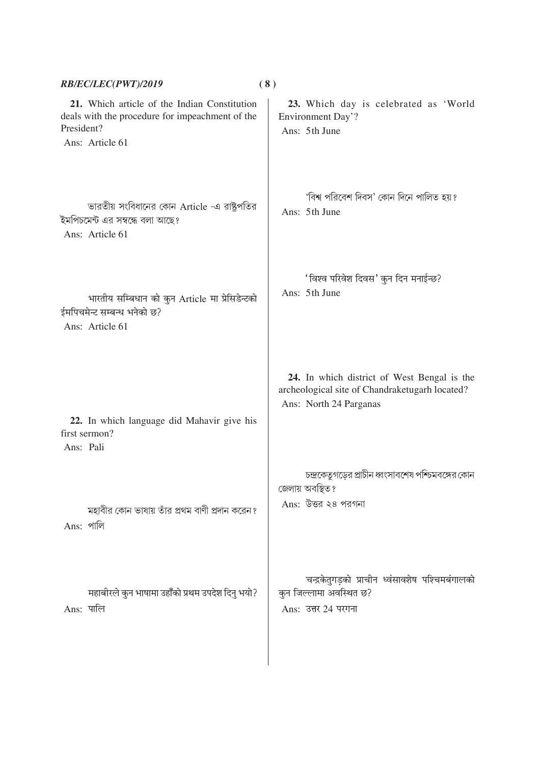| RB/EC/LEC(PWT)/2019                            |                                                                                                 | (8) |                                                                                                                         |
|------------------------------------------------|-------------------------------------------------------------------------------------------------|-----|-------------------------------------------------------------------------------------------------------------------------|
| President?<br>Ans: Article 61                  | 21. Which article of the Indian Constitution<br>deals with the procedure for impeachment of the |     | 23. Which day is celebrated as 'World<br>Environment Day'?<br>Ans: 5th June                                             |
| Ans: Article 61                                | ভারতীয় সংবিধানের কোন Article -এ রাষ্ট্রপতির<br>ইমপিচমেন্ট এর সম্বন্ধে বলা আছে?                 |     | 'বিশ্ব পরিবেশ দিবস' কোন দিনে পালিত হয়?<br>Ans: 5th June                                                                |
| ईमपिचमेन्ट सम्बन्ध भनेको छ?<br>Ans: Article 61 | भारतीय सम्बिधान को कुन Article मा प्रेसिडेन्टको                                                 |     | 'विश्व परिवेश दिवस' कुन दिन मनाईन्छ?<br>Ans: 5th June                                                                   |
| first sermon?<br>Ans: Pali                     | 22. In which language did Mahavir give his                                                      |     | 24. In which district of West Bengal is the<br>archeological site of Chandraketugarh located?<br>Ans: North 24 Parganas |
| Ans: পালি                                      | মহাবীর কোন ভাষায় তাঁর প্রথম বাণী প্রদান করেন?                                                  |     | চন্দ্রকেতুগড়ের প্রাচীন ধ্বংসাবশেষ পশ্চিমবঙ্গের কোন<br>জেলায় অবস্থিত?<br>Ans: উত্তর ২৪ পরগনা                           |
| Ans: पालि                                      | महाबीरले कुन भाषामा उहाँँको प्रथम उपदेश दिनु भयो?                                               |     | चन्द्रकेतुगड़को प्राचीन ध्वंसावशेष पश्चिमबंगालको<br>कुन जिल्लामा अवस्थित छ?<br>Ans: उत्तर 24 परगना                      |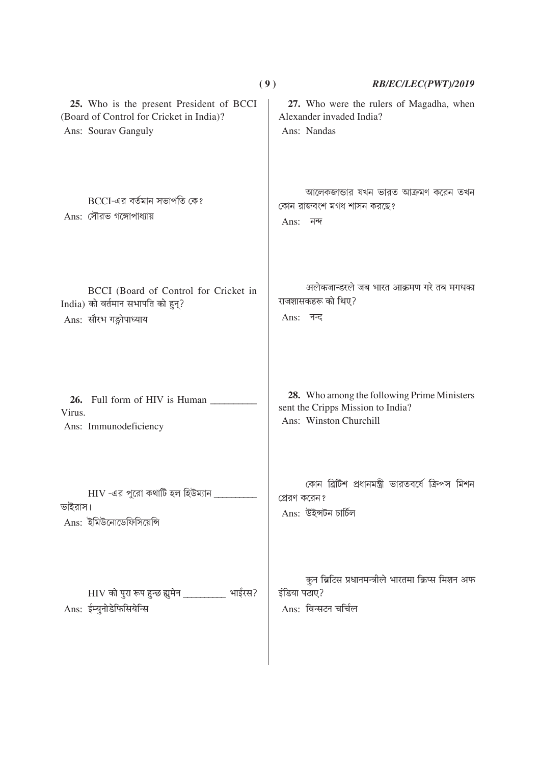|                                                                                                             | (9)                                  | RB/EC/LEC(PWT)/2019                                                                                        |
|-------------------------------------------------------------------------------------------------------------|--------------------------------------|------------------------------------------------------------------------------------------------------------|
| 25. Who is the present President of BCCI<br>(Board of Control for Cricket in India)?<br>Ans: Sourav Ganguly | Ans: Nandas                          | 27. Who were the rulers of Magadha, when<br>Alexander invaded India?                                       |
| BCCI-এর বর্তমান সভাপতি কে?<br>Ans: সৌরভ গঙ্গোপাধ্যায়                                                       | Ans:<br>নন্দ                         | আলেকজান্ডার যখন ভারত আক্রমণ করেন তখন<br>কোন রাজবংশ মগধ শাসন করছে?                                          |
| BCCI (Board of Control for Cricket in<br>India) को वर्तमान सभापति को हुन्?<br>Ans: सौरभ गङ्गोपाध्याय        | राजशासकहरू को थिए?<br>Ans: नन्द      | अलेकजान्डरले जब भारत आक्रमण गरे तब मगधका                                                                   |
| Full form of HIV is Human<br>26.<br>Virus.<br>Ans: Immunodeficiency                                         |                                      | 28. Who among the following Prime Ministers<br>sent the Cripps Mission to India?<br>Ans: Winston Churchill |
| $\rm{HIV}$ -এর পুরো কথাটি হল হিউম্যান $\rm{m}$<br>ভাইরাস।<br>Ans: ইমিউনোডেফিসিয়েন্সি                       | প্রেরণ করেন?<br>Ans: উইন্সটন চাৰ্চিল | কোন ব্রিটিশ প্রধানমন্ত্রী ভারতবর্ষে ক্রিপস মিশন                                                            |
| HIV को पुरा रूप हुन्छ ह्युमेन ___________ भाईरस?<br>Ans: ईम्युनोडेफिसियेन्सि                                | इंडिया पठाए?<br>Ans: विन्सटन चर्चिल  | कुन ब्रिटिस प्रधानमन्त्रीले भारतमा क्रिप्स मिशन अफ                                                         |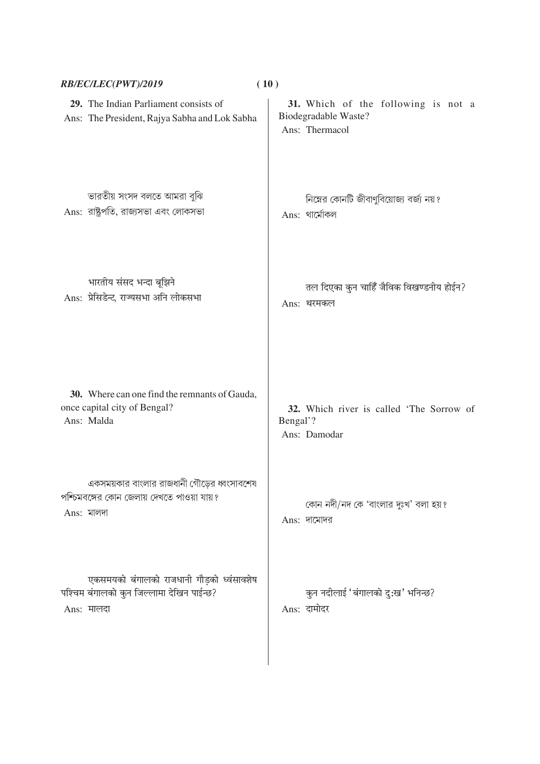|            | RB/EC/LEC(PWT)/2019                                                                      | (10)                                                                          |
|------------|------------------------------------------------------------------------------------------|-------------------------------------------------------------------------------|
|            | 29. The Indian Parliament consists of<br>Ans: The President, Rajya Sabha and Lok Sabha   | 31. Which of the following is not a<br>Biodegradable Waste?<br>Ans: Thermacol |
|            | ভারতীয় সংসদ বলতে আমরা বুঝি<br>Ans: রাষ্ট্রপতি, রাজ্যসভা এবং লোকসভা                      | নিম্নের কোনটি জীবাণুবিয়োজ্য বর্জ্য নয়?<br>$Ans:$ থার্মোকল                   |
|            | भारतीय संसद भन्दा बूझिने<br>Ans: प्रेसिडेन्ट, राज्यसभा अनि लोकसभा                        | तल दिएका कुन चाहिँ जैविक विखण्डनीय होईन?<br>Ans: थरमकल                        |
| Ans: Malda | 30. Where can one find the remnants of Gauda,<br>once capital city of Bengal?            | 32. Which river is called 'The Sorrow of<br>Bengal'?<br>Ans: Damodar          |
| Ans: মালদা | একসময়কার বাংলার রাজধানী গৌড়ের ধ্বংসাবশেষ<br>পশ্চিমবঙ্গের কোন জেলায় দেখতে পাওয়া যায়? | কোন নদী/নদ কে 'বাংলার দুঃখ' বলা হয়?<br>Ans: দামোদর                           |
| Ans: मालदा | एकसमयको बंगालको राजधानी गौड़को ध्वंसावशेष<br>पश्चिम बंगालको कुन जिल्लामा देखिन पाईन्छ?   | कुन नदीलाई 'बंगालको दु:ख' भनिन्छ?<br>Ans: दामोदर                              |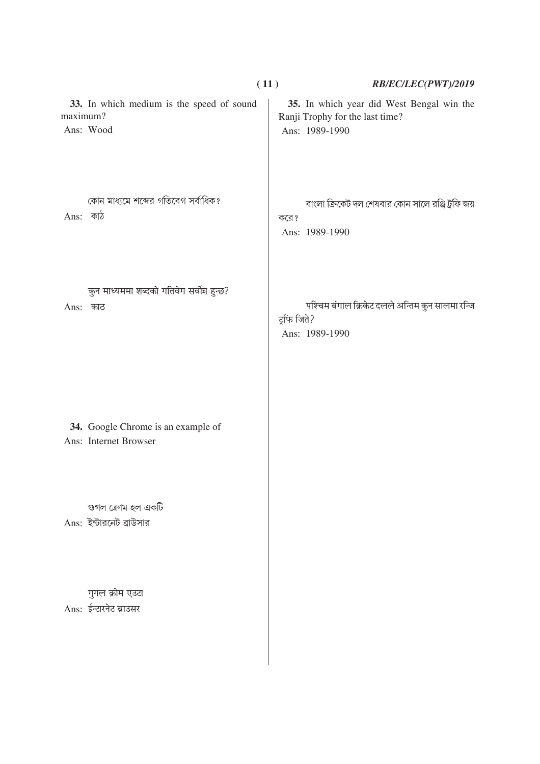|          |                                                             | (11)                          | RB/EC/LEC(PWT)/2019                                                          |
|----------|-------------------------------------------------------------|-------------------------------|------------------------------------------------------------------------------|
| maximum? | 33. In which medium is the speed of sound<br>Ans: Wood      | Ans: 1989-1990                | 35. In which year did West Bengal win the<br>Ranji Trophy for the last time? |
| Ans: কাঠ | কোন মাধ্যমে শব্দের গতিবেগ সর্বাধিক?                         | করে?<br>Ans: 1989-1990        | বাংলা ক্রিকেট দল শেষবার কোন সালে রঞ্জি ট্রফি জয়                             |
| Ans:     | कुन माध्यममा शब्दको गतिवेग सर्वोन्न हुन्छ?<br>काठ           | ट्रफि जिते?<br>Ans: 1989-1990 | पश्चिम बंगाल क्रिकेट दलले अन्तिम कुन सालमा रन्जि                             |
|          | 34. Google Chrome is an example of<br>Ans: Internet Browser |                               |                                                                              |
|          | গুগল ক্ৰোম হল একটি<br>Ans: ইন্টারনেট ব্রাউসার               |                               |                                                                              |
|          | गुगल क्रोम एउटा<br>Ans: ईन्टारनेट ब्राउसर                   |                               |                                                                              |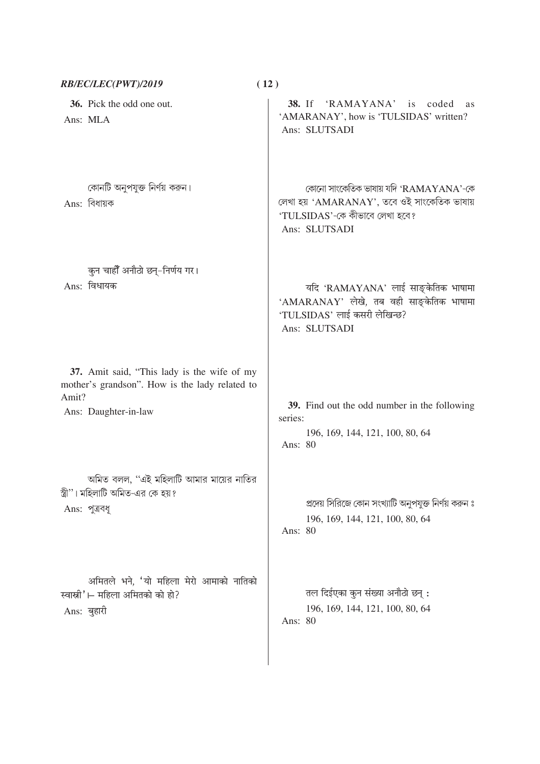| RB/EC/LEC(PWT)/2019                                                                                                            | (12)                                                                                                                                     |
|--------------------------------------------------------------------------------------------------------------------------------|------------------------------------------------------------------------------------------------------------------------------------------|
| 36. Pick the odd one out.<br>Ans: MLA                                                                                          | 38. If 'RAMAYANA' is coded<br>as<br>'AMARANAY', how is 'TULSIDAS' written?<br>Ans: SLUTSADI                                              |
| কোনটি অনুপযুক্ত নির্ণয় করুন।<br>Ans: বিধায়ক                                                                                  | কোনো সাংকেতিক ভাষায় যদি 'RAMAYANA'-কে<br>লেখা হয় 'AMARANAY', তবে ওই সাংকেতিক ভাষায়<br>'TULSIDAS'-কে কীভাবে লেখা হবে?<br>Ans: SLUTSADI |
| कुन चाहीँ अनौठो छन्-निर्णय गर।<br>Ans: विधायक                                                                                  | यदि 'RAMAYANA' लाई साङ्केतिक भाषामा<br>'AMARANAY' लेखे, तब वही साङ्केतिक भाषामा<br>'TULSIDAS' लाई कसरी लेखिन्छ?<br>Ans: SLUTSADI         |
| 37. Amit said, "This lady is the wife of my<br>mother's grandson". How is the lady related to<br>Amit?<br>Ans: Daughter-in-law | 39. Find out the odd number in the following<br>series:<br>196, 169, 144, 121, 100, 80, 64<br>Ans: 80                                    |
| অমিত বলল, ''এই মহিলাটি আমার মায়ের নাতির<br>স্ত্রী"। মহিলাটি অমিত-এর কে হয়?<br>Ans: পুত্রবধূ                                  | প্রদেয় সিরিজে কোন সংখ্যাটি অনুপযুক্ত নির্ণয় করুন ঃ<br>196, 169, 144, 121, 100, 80, 64<br>Ans: 80                                       |
| अमितले भने, 'यो महिला मेरो आमाको नातिको<br>स्वास्नी'।– महिला अमितको को हो?<br>Ans: बुहारी                                      | तल दिईएका कुन संख्या अनौठो छन् :<br>196, 169, 144, 121, 100, 80, 64<br>Ans: 80                                                           |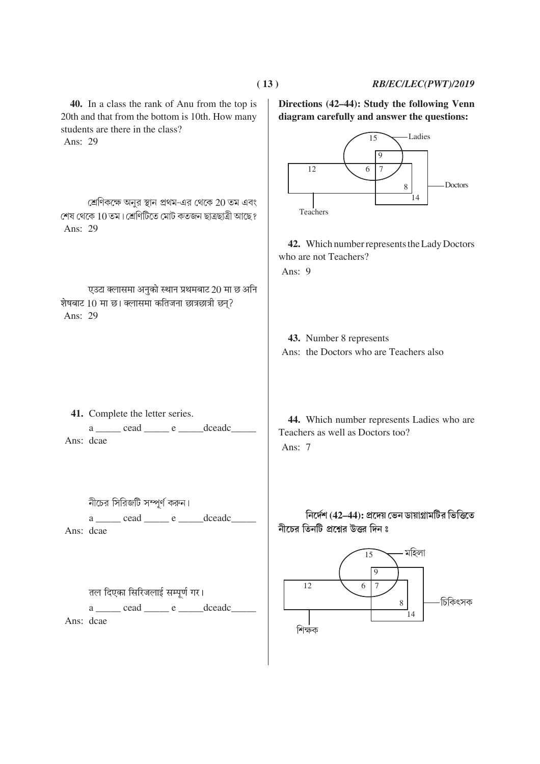#### RB/EC/LEC(PWT)/2019

40. In a class the rank of Anu from the top is 20th and that from the bottom is 10th. How many students are there in the class? Ans: 29

শ্রেণিকক্ষে অনুর স্থান প্রথম-এর থেকে 20 তম এবং শেষ থেকে 10 তম। শ্ৰেণিটিতে মোট কতজন ছাত্ৰছাত্ৰী আছে ? Ans: 29

एउटा क्लासमा अनुको स्थान प्रथमबाट 20 मा छ अनि शेषबाट 10 मा छ। क्लासमा कतिजना छात्रछात्री छन्? Ans: 29

41. Complete the letter series. a \_\_\_\_\_ cead \_\_\_\_\_ e \_\_\_\_\_dceadc\_ Ans: dcae

নীচের সিরিজটি সম্পূর্ণ করুন।  $a \_\_\_\_$  cead  $\_\_\_\$  e  $\_\_\_\_$  dceadc

Ans: dcae

तल दिएका सिरिजलाई सम्पर्ण गर। a \_\_\_\_\_ cead \_\_\_\_\_ e \_\_\_\_\_dceadc\_\_ Ans: dcae

Directions (42–44): Study the following Venn diagram carefully and answer the questions:



42. Which number represents the Lady Doctors who are not Teachers? Ans:  $9$ 

43. Number 8 represents Ans: the Doctors who are Teachers also

44. Which number represents Ladies who are Teachers as well as Doctors too? Ans:  $7$ 

নির্দেশ (42–44): প্রদেয় ভেন ডায়াগ্রামটির ভিত্তিতে নীচের তিনটি প্রশ্নের উত্তর দিন ঃ

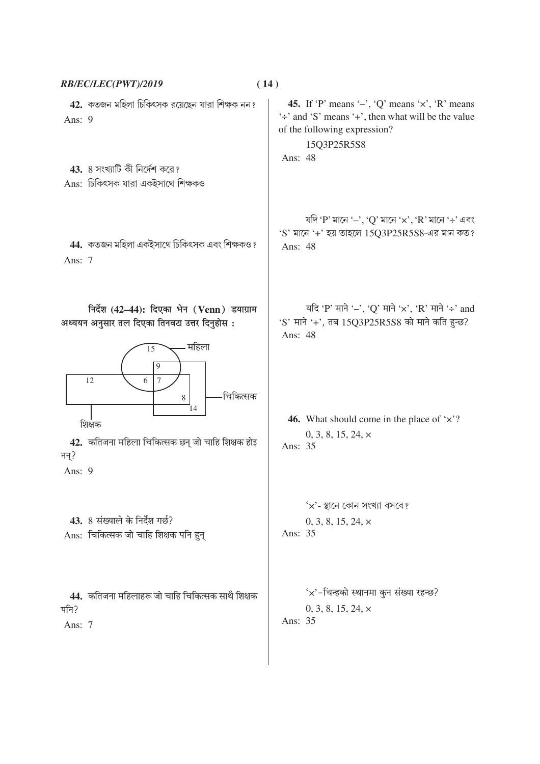| RB/EC/LEC(PWT)/2019                                                                                                                                    | (14)                                                                                                                                                                           |
|--------------------------------------------------------------------------------------------------------------------------------------------------------|--------------------------------------------------------------------------------------------------------------------------------------------------------------------------------|
| 42. কতজন মহিলা চিকিৎসক রয়েছেন যারা শিক্ষক নন?<br>Ans: 9                                                                                               | 45. If 'P' means '-', 'Q' means ' $\times$ ', 'R' means<br>$\div$ and 'S' means $\div$ , then what will be the value<br>of the following expression?<br>15Q3P25R5S8<br>Ans: 48 |
| $43.8$ সংখ্যাটি কী নির্দেশ করে?                                                                                                                        |                                                                                                                                                                                |
| Ans: চিকিৎসক যারা একইসাথে শিক্ষকও                                                                                                                      |                                                                                                                                                                                |
| 44. কতজন মহিলা একইসাথে চিকিৎসক এবং শিক্ষকও?<br>Ans: 7                                                                                                  | যদি 'P' মানে ' $-$ ', 'Q' মানে ' $\times$ ', 'R' মানে '÷' এবং<br>'S' মানে '+' হয় তাহলে 15Q3P25R5S8-এর মান কত?<br>Ans: 48                                                      |
| निर्देश (42–44): दिएका भेन (Venn) डयाग्राम<br>अध्ययन अनुसार तल दिएका तिनवटा उत्तर दिनुहोस:                                                             | यदि 'P' माने '-', 'Q' माने 'x', 'R' माने '÷' and<br>'S' माने '+', तब 15Q3P25R5S8 को माने कति हुन्छ?<br>Ans: 48                                                                 |
| महिला<br>15<br>9<br>12<br>6<br>$\overline{7}$<br>र्िचकित्सक<br>8<br>14<br>शिक्षक<br>42. कतिजना महिला चिकित्सक छन् जो चाहि शिक्षक होइ<br>नन्?<br>Ans: 9 | 46. What should come in the place of $\forall$ ??<br>$0, 3, 8, 15, 24, \times$<br>Ans: 35                                                                                      |
| 43. 8 संख्याले के निर्देश गर्छ?<br>Ans: चिकित्सक जो चाहि शिक्षक पनि हुन्                                                                               | ' $\times$ '- স্থানে কোন সংখ্যা বসবে?<br>$0, 3, 8, 15, 24, \times$<br>Ans: 35                                                                                                  |
| 44. कतिजना महिलाहरू जो चाहि चिकित्सक साथै शिक्षक<br>पनि?<br>Ans: 7                                                                                     | 'x'-चिन्हको स्थानमा कुन संख्या रहन्छ?<br>$0, 3, 8, 15, 24, \times$<br>Ans: 35                                                                                                  |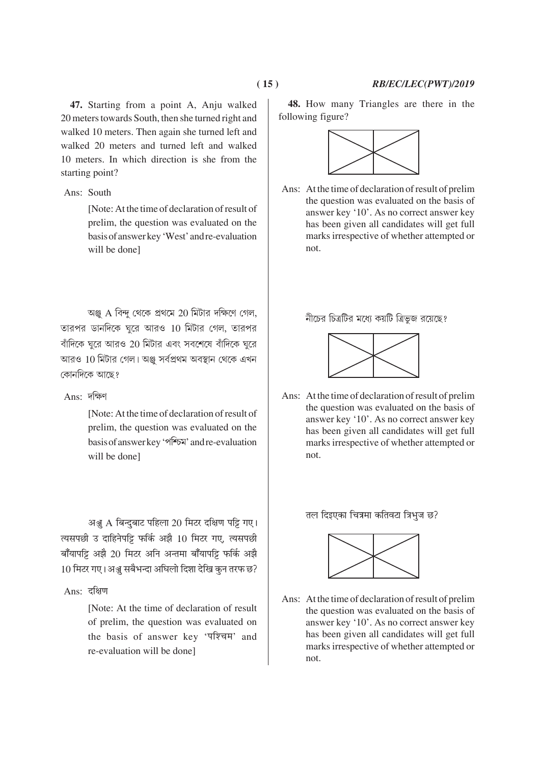**47.** Starting from a point A, Anju walked 20 meters towards South, then she turned right and walked 10 meters. Then again she turned left and walked 20 meters and turned left and walked 10 meters. In which direction is she from the

#### Ans: South

starting point?

[Note: At the time of declaration of result of prelim, the question was evaluated on the basis of answer key 'West' and re-evaluation will be done]

আঞ্জ A বিন্দু থেকে প্রথমে 20 মিটার দক্ষিণে গেল, তারপর ডানদিকে ঘুরে আরও 10 মিটার গেল, তারপর বাঁদিকে ঘুরে আরও 20 মিটার এবং সবশেষে বাঁদিকে ঘুরে আরও 10 মিটার গেল। অঞ্জ সর্বপ্রথম অবস্থান থেকে এখন কোনদিকে আছে?

## $Ans:$  দক্ষিণ

[Note: At the time of declaration of result of prelim, the question was evaluated on the basis of answer key 'পশ্চিম' and re-evaluation will be done]

अञ्जू A बिन्दुबाट पहिला 20 मिटर दक्षिण पट्टि गए। त्यसपछी उ दाहिनेपट्टि फर्कि अझै 10 मिटर गए, त्यसपछी बाँयापट्टि अझै 20 मिटर अनि अन्तमा बाँयापट्टि फर्कि अझै 10 मिटर गए। अञ्जू सबैभन्दा अघिलो दिशा देखि कुन तरफ छ?

 $Ans:$  दक्षिण

[Note: At the time of declaration of result of prelim, the question was evaluated on the basis of answer key 'पश्चिम' and re-evaluation will be done]

**48.** How many Triangles are there in the following figure?



Ans: At the time of declaration of result of prelim the question was evaluated on the basis of answer key '10'. As no correct answer key has been given all candidates will get full marks irrespective of whether attempted or not.

নীচের চিত্রটির মধ্যে কয়টি ত্রিভজ রয়েছে?



Ans: At the time of declaration of result of prelim the question was evaluated on the basis of answer key '10'. As no correct answer key has been given all candidates will get full marks irrespective of whether attempted or not.

तल दिइएका चित्रमा कतिवटा त्रिभुज छ?



Ans: At the time of declaration of result of prelim the question was evaluated on the basis of answer key '10'. As no correct answer key has been given all candidates will get full marks irrespective of whether attempted or not.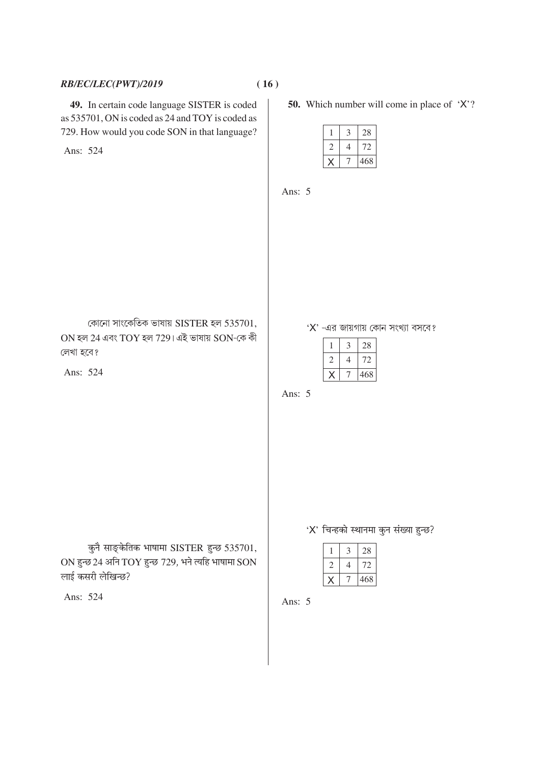## RB/EC/LEC(PWT)/2019

49. In certain code language SISTER is coded as 535701, ON is coded as 24 and TOY is coded as 729. How would you code SON in that language?

Ans: 524

**50.** Which number will come in place of  $'X$ ?

|  | 28  |
|--|-----|
|  | Σ   |
|  | 468 |

Ans: 5

কোনো সাংকেতিক ভাষায় SISTER হল 535701,  $ON$  হল 24 এবং  $TOY$  হল 729। এই ভাষায়  $SON$ -কে কী লেখা হবে?

Ans: 524

 $X'$  -এর জায়গায় কোন সংখ্যা বসবে?

|  | 28  |
|--|-----|
|  |     |
|  | 468 |

Ans:  $5$ 

कुनै साङ्केतिक भाषामा SISTER हुन्छ 535701,  $ON$  हुन्छ 24 अनि  $TOY$  हुन्छ 729, भने त्यहि भाषामा $SON$ लाई कसरी लेखिन्छ?

Ans: 524

'X' चिन्हको स्थानमा कुन संख्या हुन्छ?

|  | 28  |
|--|-----|
|  |     |
|  | 468 |

Ans:  $5$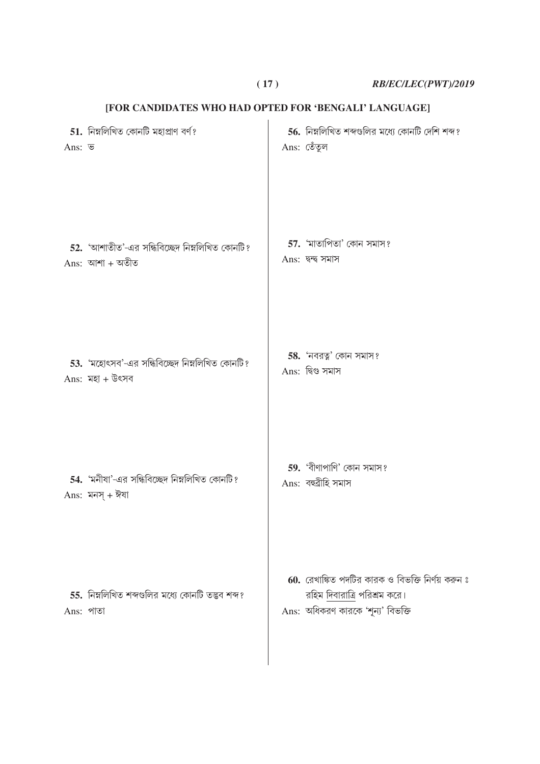**( 17 )** *RB/EC/LEC(PWT)/2019*

| Ans: ভ    | $51.$ নিম্নলিখিত কোনটি মহাপ্ৰাণ বৰ্ণ?                             | 56. নিম্নলিখিত শব্দগুলির মধ্যে কোনটি দেশি শব্দ?<br>Ans: তেঁতুল                                                           |
|-----------|-------------------------------------------------------------------|--------------------------------------------------------------------------------------------------------------------------|
|           | 52. 'আশাতীত'-এর সন্ধিবিচ্ছেদ নিম্নলিখিত কোনটি?<br>Ans: আশা + অতীত | 57. 'মাতাপিতা' কোন সমাস?<br>$Ans:$ দ্বন্দ্ব সমাস                                                                         |
|           | 53. 'মহোৎসব'-এর সন্ধিবিচ্ছেদ নিম্নলিখিত কোনটি?<br>Ans: মহা + উৎসব | 58. 'নবরত্ন' কোন সমাস?<br>Ans: দ্বিগু সমাস                                                                               |
|           | 54. 'মনীষা'-এর সন্ধিবিচ্ছেদ নিম্নলিখিত কোনটি?<br>Ans: মনস্ + ঈষা  | 59. 'বীণাপাণি' কোন সমাস?<br>Ans: বহুৱীহি সমাস                                                                            |
| Ans: পাতা | 55. নিম্নলিখিত শব্দগুলির মধ্যে কোনটি তদ্ভব শব্দ?                  | $60.$ রেখাঙ্কিত পদটির কারক ও বিভক্তি নির্ণয় করুন ঃ<br>রহিম দিবারাত্রি পরিশ্রম করে।<br>Ans: অধিকরণ কারকে 'শূন্য' বিভক্তি |

# **[FOR CANDIDATES WHO HAD OPTED FOR 'BENGALI' LANGUAGE]**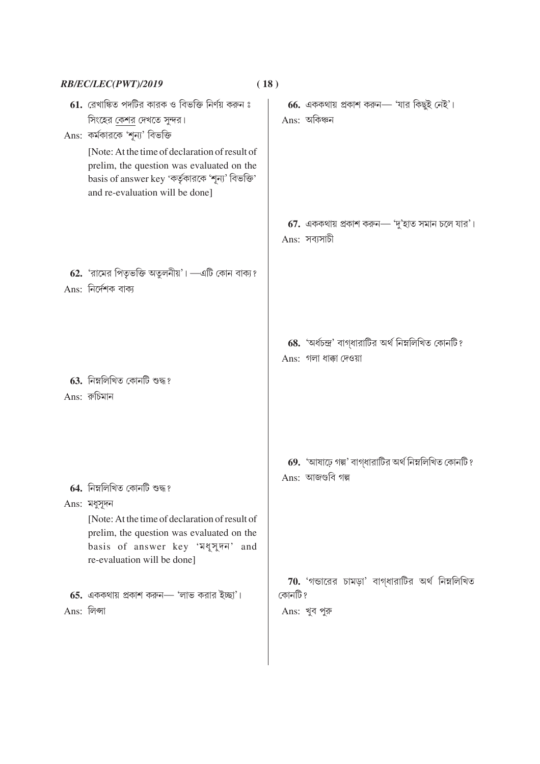|             | RB/EC/LEC(PWT)/2019                                                                                                                                                                                              | (18)    |                                                                               |
|-------------|------------------------------------------------------------------------------------------------------------------------------------------------------------------------------------------------------------------|---------|-------------------------------------------------------------------------------|
|             | 61. রেখাঙ্কিত পদটির কারক ও বিভক্তি নির্ণয় করুন ঃ<br>সিংহের কেশর দেখতে সুন্দর।<br>Ans: কর্মকারকে 'শূন্য' বিভক্তি                                                                                                 |         | 66. এককথায় প্রকাশ করুন— 'যার কিছুই নেই'।<br>$Ans:$ অকিঞ্চন                   |
|             | [Note: At the time of declaration of result of<br>prelim, the question was evaluated on the<br>basis of answer key 'কর্তৃকারকে 'শূন্য' বিভক্তি'<br>and re-evaluation will be done]                               |         |                                                                               |
|             |                                                                                                                                                                                                                  |         | $67.$ এককথায় প্রকাশ করুন— 'দু'হাত সমান চলে যার' ।<br>Ans: সব্যসাচী           |
|             | 62. 'রামের পিতৃভক্তি অতুলনীয়'। —এটি কোন বাক্য?<br>Ans: নির্দেশক বাক্য                                                                                                                                           |         |                                                                               |
|             | $63.$ নিম্নলিখিত কোনটি শুদ্ধ?                                                                                                                                                                                    |         | 68. 'অৰ্থচন্দ্ৰ' বাগ্ধারাটির অর্থ নিম্নলিখিত কোনটি?<br>Ans: গলা ধাক্কা দেওয়া |
|             | $Ans:$ রুচিমান                                                                                                                                                                                                   |         | 69. 'আষাঢ়ে গল্প' বাগ্ধারাটির অর্থ নিম্নলিখিত কোনটি?                          |
|             | 64. নিম্নলিখিত কোনটি শুদ্ধ?<br>$Ans:$ মধুসূদন<br>[Note: At the time of declaration of result of<br>prelim, the question was evaluated on the<br>basis of answer key 'মধুসুদন' and<br>re-evaluation will be done] |         | Ans: আজগুবি গল্প                                                              |
| Ans: লিপ্সা | $65.$ এককথায় প্রকাশ করুন— 'লাভ করার ইচ্ছা'।                                                                                                                                                                     | কোনটি ? | $70.$ 'গভারের চামড়া' বাগ্ধারাটির অর্থ নিম্নলিখিত<br>Ans: খুব পুরু            |
|             |                                                                                                                                                                                                                  |         |                                                                               |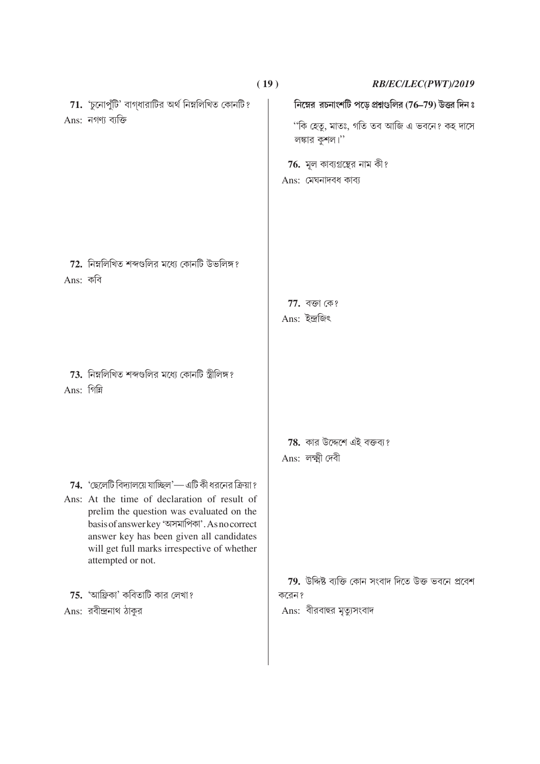|             |                                                                                                         | (19)  | RB/EC/LEC(PWT)/2019                                          |
|-------------|---------------------------------------------------------------------------------------------------------|-------|--------------------------------------------------------------|
|             | $71.$ 'চুনোপুঁটি' বাগ্ধারাটির অর্থ নিম্নলিখিত কোনটি?                                                    |       | নিম্নের রচনাংশটি পড়ে প্রশ্নগুলির (76-79) উত্তর দিন ঃ        |
|             | Ans: নগণ্য ব্যক্তি                                                                                      |       | ''কি হেতু, মাতঃ, গতি তব আজি এ ভবনে? কহ দাসে<br>লঙ্কার কুশল।" |
|             |                                                                                                         |       | <b>76.</b> মূল কাব্যগ্রন্থের নাম কী?                         |
|             |                                                                                                         |       | Ans: মেঘনাদবধ কাব্য                                          |
|             |                                                                                                         |       |                                                              |
|             |                                                                                                         |       |                                                              |
|             |                                                                                                         |       |                                                              |
|             | $72.$ নিম্নলিখিত শব্দগুলির মধ্যে কোনটি উভলিঙ্গ?                                                         |       |                                                              |
| Ans: কবি    |                                                                                                         |       |                                                              |
|             |                                                                                                         |       | 77. বজা কে?                                                  |
|             |                                                                                                         |       | Ans: ইন্দ্ৰজিৎ                                               |
|             |                                                                                                         |       |                                                              |
|             | 73. নিম্নলিখিত শব্দগুলির মধ্যে কোনটি স্ত্রীলিঙ্গ?                                                       |       |                                                              |
| Ans: গিন্নি |                                                                                                         |       |                                                              |
|             |                                                                                                         |       |                                                              |
|             |                                                                                                         |       | <b>78.</b> কার উদ্দেশে এই বক্তব্য?                           |
|             |                                                                                                         |       | Ans: লক্ষ্মী দেবী                                            |
|             |                                                                                                         |       |                                                              |
|             | 74. 'ছেলেটি বিদ্যালয়ে যাচ্ছিল'— এটি কী ধরনের ক্রিয়া ?<br>Ans: At the time of declaration of result of |       |                                                              |
|             | prelim the question was evaluated on the<br>basis of answer key 'অসমাপিকা'. As no correct               |       |                                                              |
|             | answer key has been given all candidates                                                                |       |                                                              |
|             | will get full marks irrespective of whether<br>attempted or not.                                        |       |                                                              |
|             |                                                                                                         |       | 79. উদ্দিষ্ট ব্যক্তি কোন সংবাদ দিতে উক্ত ভবনে প্ৰবেশ         |
|             | $75.$ 'আফ্রিকা' কবিতাটি কার লেখা?                                                                       | করেন? |                                                              |
|             | Ans: রবীন্দ্রনাথ ঠাকুর                                                                                  |       | Ans: বীরবাহুর মৃত্যুসংবাদ                                    |
|             |                                                                                                         |       |                                                              |
|             |                                                                                                         |       |                                                              |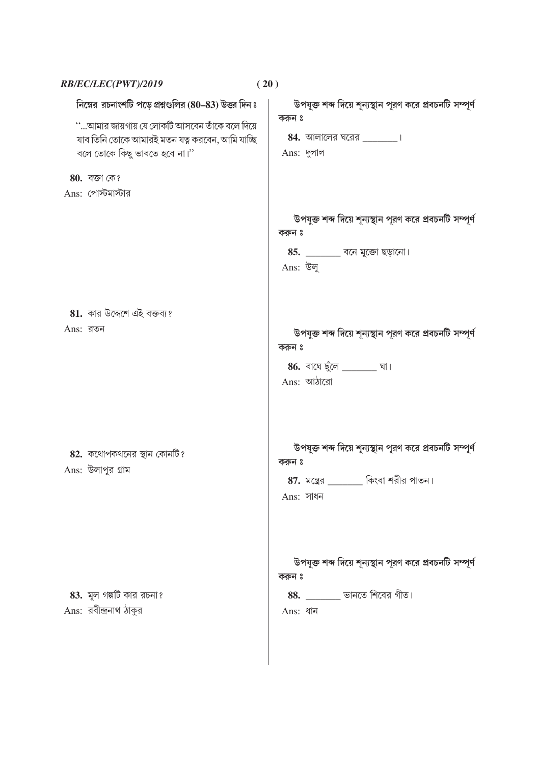| RB/EC/LEC(PWT)/2019                                    | (20)                                                                                                                   |
|--------------------------------------------------------|------------------------------------------------------------------------------------------------------------------------|
| নিম্নের রচনাংশটি পড়ে প্রশ্নগুলির (80–83) উত্তর দিন ঃ  | উপযুক্ত শব্দ দিয়ে শূন্যস্থান পূরণ করে প্রবচনটি সম্পূর্ণ<br>করুন ঃ                                                     |
| ''…আমার জায়গায় যে লোকটি আসবেন তাঁকে বলে দিয়ে        | $84.$ আলালের ঘরের $\frac{1}{2}$                                                                                        |
| যাব তিনি তোকে আমারই মতন যত্ন করবেন, আমি যাচ্ছি         |                                                                                                                        |
| বলে তোকে কিছু ভাবতে হবে না।"                           | Ans: দুলাল                                                                                                             |
| 80. বজা কে?                                            |                                                                                                                        |
| Ans: পোস্টমাস্টার                                      |                                                                                                                        |
|                                                        | উপযুক্ত শব্দ দিয়ে শূন্যস্থান পূরণ করে প্রবচনটি সম্পূর্ণ<br>করুন ঃ<br>$85.$ __________ বনে মুক্তো ছড়ানো।              |
|                                                        | Ans: উলু                                                                                                               |
| $81.$ কার উদ্দেশে এই বক্তব্য?<br>$Ans:$ রতন            | উপযুক্ত শব্দ দিয়ে শূন্যস্থান পূরণ করে প্রবচনটি সম্পূর্ণ<br>করুন ঃ<br>86. বাঘে ছুঁলে _______________ ঘা।<br>Ans: আঠারো |
| <b>82.</b> কথোপকথনের স্থান কোনটি?<br>Ans: উলাপুর গ্রাম | উপযুক্ত শব্দ দিয়ে শূন্যস্থান পূরণ করে প্রবচনটি সম্পূর্ণ<br>করুন ঃ<br>কিংবা শরীর পাতন।<br>$87.$ মন্ত্রের<br>Ans: সাধন  |
| 83. মূল গল্পটি কার রচনা?<br>Ans: রবীন্দ্রনাথ ঠাকুর     | উপযুক্ত শব্দ দিয়ে শূন্যস্থান পূরণ করে প্রবচনটি সম্পূর্ণ<br>করুন ঃ<br>$88.$ ________ ভানতে শিবের গীত।<br>Ans: ধান      |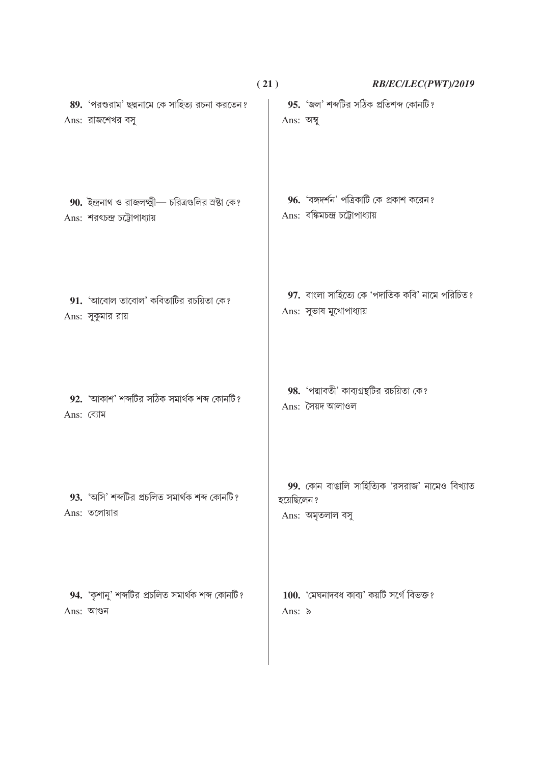|            |                                                                                     | (21)       | RB/EC/LEC(PWT)/2019                                                          |
|------------|-------------------------------------------------------------------------------------|------------|------------------------------------------------------------------------------|
|            | 89. 'পরশুরাম' ছদ্মনামে কে সাহিত্য রচনা করতেন?<br>Ans: রাজশেখর বসু                   | Ans: অম্বু | 95. 'জল' শব্দটির সঠিক প্রতিশব্দ কোনটি?                                       |
|            | 90. ইন্দ্রনাথ ও রাজলক্ষ্মী— চরিত্রগুলির স্রষ্টা কে?<br>Ans: শরৎচন্দ্র চট্টোপাধ্যায় |            | 96. 'বঙ্গদর্শন' পত্রিকাটি কে প্রকাশ করেন?<br>Ans: বঙ্কিমচন্দ্র চট্টোপাধ্যায় |
|            | $91.$ 'আবোল তাবোল' কবিতাটির রচয়িতা কে?<br>Ans: সুকুমার রায়                        |            | 97. বাংলা সাহিত্যে কে 'পদাতিক কবি' নামে পরিচিত?<br>Ans: সুভাষ মুখোপাধ্যায়   |
| Ans: ব্যোম | 92. 'আকাশ' শব্দটির সঠিক সমার্থক শব্দ কোনটি?                                         |            | 98. 'পদ্মাবতী' কাব্যগ্রন্থটির রচয়িতা কে?<br>Ans: সৈয়দ আলাওল                |
|            | 93. 'অসি' শব্দটির প্রচলিত সমার্থক শব্দ কোনটি?<br>$Ans:$ তলোয়ার                     | হয়েছিলেন? | 99. কোন বাঙালি সাহিত্যিক 'রসরাজ' নামেও বিখ্যাত<br>Ans: অমৃতলাল বসু           |
|            | 94. 'কৃশানু' শব্দটির প্রচলিত সমার্থক শব্দ কোনটি?<br>Ans: আগুন                       | Ans: ৯     | 100. 'মেঘনাদবধ কাব্য' কয়টি সৰ্গে বিভক্ত?                                    |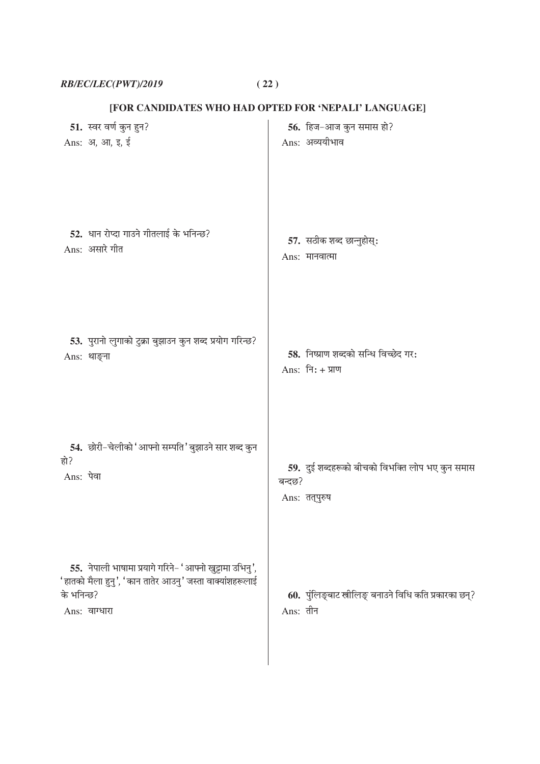$RB/EC/LEC(PWT)/2019 \tag{22}$ 

[FOR CANDIDATES WHO HAD OPTED FOR 'NEPALI' LANGUAGE]

| 51. स्वर वर्ण कुन हुन?                                                                                                                              | 56. हिज-आज कुन समास हो?                                             |
|-----------------------------------------------------------------------------------------------------------------------------------------------------|---------------------------------------------------------------------|
| Ans: अ, आ, इ, ई                                                                                                                                     | Ans: अव्ययीभाव                                                      |
| 52. धान रोप्दा गाउने गीतलाई के भनिन्छ?                                                                                                              | 57. सठीक शब्द छान्नुहोस्:                                           |
| Ans: असारे गीत                                                                                                                                      | Ans: मानवात्मा                                                      |
| 53. पुरानो लुगाको टुक्रा बुझाउन कुन शब्द प्रयोग गरिन्छ?                                                                                             | 58. निष्प्राण शब्दको सन्धि विच्छेद गर:                              |
| Ans: थाङ्ना                                                                                                                                         | Ans: नि: + प्राण                                                    |
| 54. छोरी-चेलीको 'आफ्नो सम्पति' बुझाउने सार शब्द कुन                                                                                                 | 59. दुई शब्दहरूको बीचको विभक्ति लोप भए कुन समास                     |
| हो?                                                                                                                                                 | बन्दछ?                                                              |
| Ans: पेवा                                                                                                                                           | Ans: तत्पुरुष                                                       |
| 55. नेपाली भाषामा प्रयागे गरिने- 'आफ्नो खुट्टामा उभिनु',<br>'हातको मैला हुनु', 'कान तातेर आउनु' जस्ता वाक्यांशहरूलाई<br>के भनिन्छ?<br>Ans: वाग्धारा | 60. पुंलिङ्बाट स्त्रीलिङ् बनाउने विधि कति प्रकारका छन्?<br>Ans: तीन |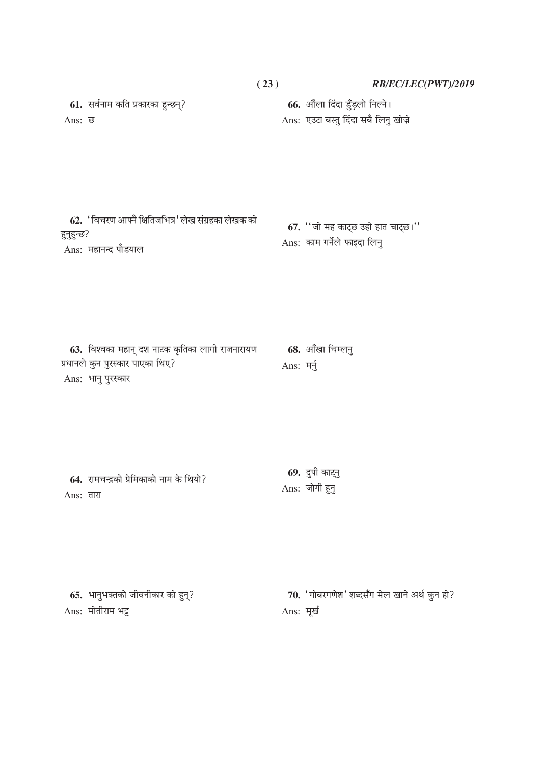|                                                                                                           | (23)       | RB/EC/LEC(PWT)/2019                                                    |
|-----------------------------------------------------------------------------------------------------------|------------|------------------------------------------------------------------------|
| 61. सर्वनाम कति प्रकारका हुन्छन्?<br>Ans: ন্ত                                                             |            | 66. औंला दिंदा डुँड़लो निल्ने।<br>Ans: एउटा बस्तु दिंदा सबै लिनु खोज़े |
| 62. 'विचरण आफ्नै क्षितिजभित्र' लेख संग्रहका लेखक को<br>हुनुहुन्छ?<br>Ans: महानन्द पौडयाल                  |            | 67. $"$ जो मह काट्छ उही हात चाट्छ।"<br>Ans: काम गर्नेले फाइदा लिनु     |
| 63. विश्वका महान् दश नाटक कृतिका लागी राजनारायण<br>प्रधानले कुन पुरस्कार पाएका थिए?<br>Ans: भानु पुरस्कार | Ans: मर्नु | 68. आँखा चिम्लनु                                                       |
| 64. रामचन्द्रको प्रेमिकाको नाम के थियो?<br>Ans: तारा                                                      |            | 69. दुपी काट्नु<br>Ans: जोगी हुनु                                      |
| 65. भानुभक्तको जीवनीकार को हुन्?<br>Ans: मोतीराम भट्ट                                                     |            | 70. 'गोबरगणेश' शब्दसँग मेल खाने अर्थ कुन हो?<br>Ans: मूर्ख             |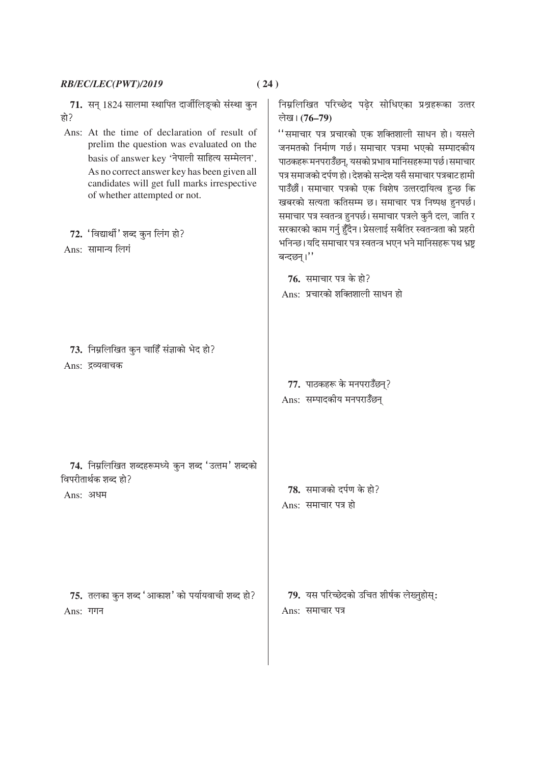|            | RB/EC/LEC(PWT)/2019                                                                                                                                                                                                                                                                                                                                                                       | (24)                                                                                                                                                                                                                                                                                                                                                                                                                                                                                                                                                                                                                                                                                                   |
|------------|-------------------------------------------------------------------------------------------------------------------------------------------------------------------------------------------------------------------------------------------------------------------------------------------------------------------------------------------------------------------------------------------|--------------------------------------------------------------------------------------------------------------------------------------------------------------------------------------------------------------------------------------------------------------------------------------------------------------------------------------------------------------------------------------------------------------------------------------------------------------------------------------------------------------------------------------------------------------------------------------------------------------------------------------------------------------------------------------------------------|
| हो?        | 71.  सन् 1824 सालमा स्थापित दार्जीलिङ्को संस्था कुन<br>Ans: At the time of declaration of result of<br>prelim the question was evaluated on the<br>basis of answer key 'नेपाली साहित्य सम्मेलन'.<br>As no correct answer key has been given all<br>candidates will get full marks irrespective<br>of whether attempted or not.<br>72. 'विद्यार्थी' शब्द कुन लिंग हो?<br>Ans: सामान्य लिगं | निम्नलिखित परिच्छेद पढ़ेर सोधिएका प्रश्नहरूका उत्तर<br>लेख। (76–79)<br>''समाचार पत्र प्रचारको एक शक्तिशाली साधन हो। यसले<br>जनमतको निर्माण गर्छ। समाचार पत्रमा भएको सम्पादकीय<br>पाठकहरू मनपराउँछन्, यसको प्रभाव मानिसहरूमा पर्छ।समाचार<br>पत्र समाजको दर्पण हो। देशको सन्देश यसै समाचार पत्रबाट हामी<br>पाउँछौं। समाचार पत्रको एक विशेष उत्तरदायित्व हुन्छ कि<br>खबरको सत्यता कतिसम्म छ। समाचार पत्र निष्पक्ष हुनपर्छ।<br>समाचार पत्र स्वतन्त्र हुनपर्छ। समाचार पत्रले कुनै दल, जाति र<br>सरकारको काम गर्नु हुँदैन। प्रेसलाई सबैतिर स्वतन्त्रता को प्रहरी<br>भनिन्छ।यदि समाचार पत्र स्वतन्त्र भएन भने मानिसहरू पथ भ्रष्ट्र<br>बन्दछन्।''<br>76. समाचार पत्र के हो?<br>Ans: प्रचारको शक्तिशाली साधन हो |
|            | 73. निम्नलिखित कुन चाहिँ संज्ञाको भेद हो?<br>Ans: द्रव्यवाचक                                                                                                                                                                                                                                                                                                                              | 77. पाठकहरू के मनपराउँछन्?<br>Ans: सम्पादकीय मनपराउँछन्                                                                                                                                                                                                                                                                                                                                                                                                                                                                                                                                                                                                                                                |
|            | 74. निम्नलिखित शब्दहरूमध्ये कुन शब्द 'उत्तम' शब्दको<br>विपरीतार्थक शब्द हो?<br>Ans: अधम                                                                                                                                                                                                                                                                                                   | 78. समाजको दर्पण के हो?<br>Ans: समाचार पत्र हो                                                                                                                                                                                                                                                                                                                                                                                                                                                                                                                                                                                                                                                         |
| $Ans:$ गगन | 75. तलका कुन शब्द 'आकाश' को पर्यायवाची शब्द हो?                                                                                                                                                                                                                                                                                                                                           | 79.  यस परिच्छेदको उचित शीर्षक लेख्नुहोस्:<br>Ans: समाचार पत्र                                                                                                                                                                                                                                                                                                                                                                                                                                                                                                                                                                                                                                         |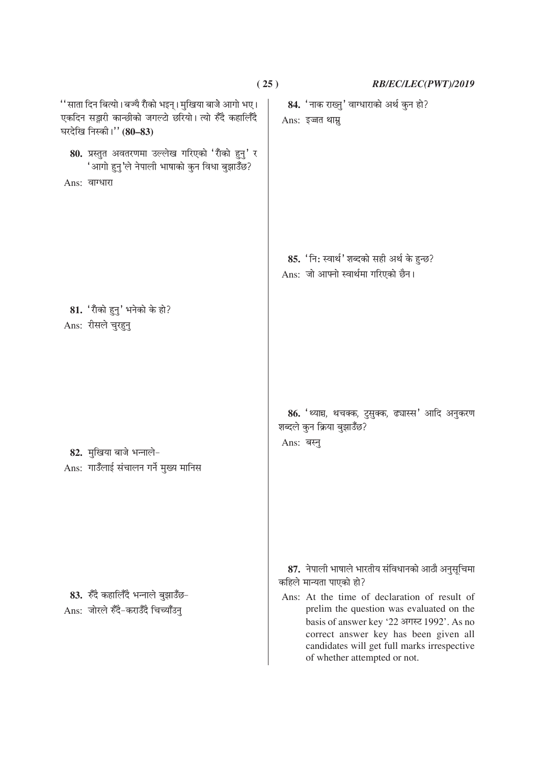|                                                                                                                                                  | (25)       | RB/EC/LEC(PWT)/2019                                                                                                                                                                                                                                                                                                                           |
|--------------------------------------------------------------------------------------------------------------------------------------------------|------------|-----------------------------------------------------------------------------------------------------------------------------------------------------------------------------------------------------------------------------------------------------------------------------------------------------------------------------------------------|
| '' साता दिन बित्यो। बज्यै राँको भइन्। मुखिया बाजे आगो भए।<br>एकदिन सङ्गरी कान्छीको जगल्टो छरियो। त्यो रुँदै कहालिँदै<br>घरदेखि निस्की।'' (80-83) |            | 84. 'नाक राख्नु' वाग्धाराको अर्थ कुन हो?<br>Ans: इज्जत थाम्नु                                                                                                                                                                                                                                                                                 |
| 80. प्रस्तुत अवतरणमा उल्लेख गरिएको 'राँको हुनु' र<br>'आगो हुनु'ले नेपाली भाषाको कुन विधा बुझाउँछ?<br>Ans: वाग्धारा                               |            |                                                                                                                                                                                                                                                                                                                                               |
|                                                                                                                                                  |            | 85. 'नि: स्वार्थ' शब्दको सही अर्थ के हुन्छ?<br>Ans: जो आफ्नो स्वार्थमा गरिएको छैन।                                                                                                                                                                                                                                                            |
| $81.$ 'राँको हुनु' भनेको के हो?<br>Ans: रीसले चुरहुनु                                                                                            |            |                                                                                                                                                                                                                                                                                                                                               |
| 82. मुखिया बाजे भन्नाले-<br>Ans: गाउँलाई संचालन गर्ने मुख्य मानिस                                                                                | Ans: बस्नु | 86. 'थ्यान्च, थचक्क, टुसुक्क, ढ्यास्स' आदि अनुकरण<br>शब्दले कुन क्रिया बुझाउँछ?                                                                                                                                                                                                                                                               |
| 83. रुँदै कहालिँदै भन्नाले बुझाउँछ-<br>Ans: जोरले रुँदै-कराउँदै चिच्याँउनु                                                                       |            | 87. नेपाली भाषाले भारतीय संविधानको आठौ अनुसूचिमा<br>कहिले मान्यता पाएको हो?<br>Ans: At the time of declaration of result of<br>prelim the question was evaluated on the<br>basis of answer key '22 अगस्ट 1992'. As no<br>correct answer key has been given all<br>candidates will get full marks irrespective<br>of whether attempted or not. |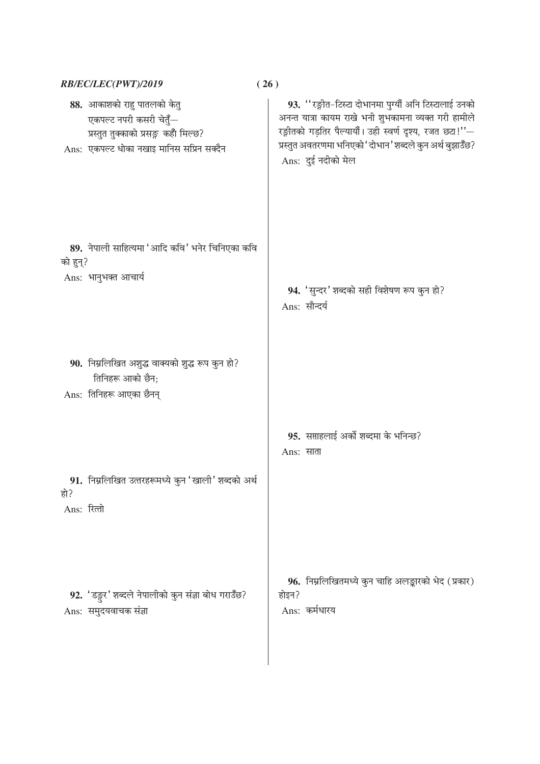|                    | RB/EC/LEC(PWT)/2019<br>(26)                                                                                                                  |                                                                                                                                                                                                                                                              |
|--------------------|----------------------------------------------------------------------------------------------------------------------------------------------|--------------------------------------------------------------------------------------------------------------------------------------------------------------------------------------------------------------------------------------------------------------|
|                    | 88. आकाशको राहु पातलको केतु<br>एकपल्ट नपरी कसरी चेतुँ—<br>प्रस्तुत तुक्काको प्रसङ्ग कहाँ मिल्छ?<br>Ans: एकपल्ट धोका नखाइ मानिस सप्रिन सक्दैन | 93. "रङ्गीत-टिस्टा दोभानमा पुग्यौं अनि टिस्टालाई उनको<br>अनन्त यात्रा कायम राखे भनी शुभकामना व्यक्त गरी हामीले<br>रङ्गीतको गड़तिर पैल्यायौं। उही स्वर्ण दृश्य, रजत छ्य!''-<br>प्रस्तुत अवतरणमा भनिएको 'दोभान' शब्दले कुन अर्थ बुझाउँछ?<br>Ans: दुई नदीको मेल |
| को हुन्?           | 89. नेपाली साहित्यमा 'आदि कवि' भनेर चिनिएका कवि<br>Ans: भानुभक्त आचार्य                                                                      | 94. 'सुन्दर' शब्दको सही विशेषण रूप कुन हो?<br>Ans: सौन्दर्य                                                                                                                                                                                                  |
|                    | 90. निम्नलिखित अशुद्ध वाक्यको शुद्ध रूप कुन हो?<br>तिनिहरू आको छैन;<br>Ans: तिनिहरू आएका छैनन्                                               |                                                                                                                                                                                                                                                              |
| हो?<br>Ans: रित्तो | 91. निम्नलिखित उत्तरहरूमध्ये कुन 'खाली' शब्दको अर्थ                                                                                          | 95. सप्ताहलाई अर्को शब्दमा के भनिन्छ?<br>Ans: साता                                                                                                                                                                                                           |
|                    | 92. 'डङ्गुर' शब्दले नेपालीको कुन संज्ञा बोध गराउँछ?<br>Ans: समुदयवाचक संज्ञा                                                                 | 96. निम्नलिखितमध्ये कुन चाहि अलङ्कारको भेद (प्रकार)<br>होइन?<br>Ans: कर्मधारय                                                                                                                                                                                |